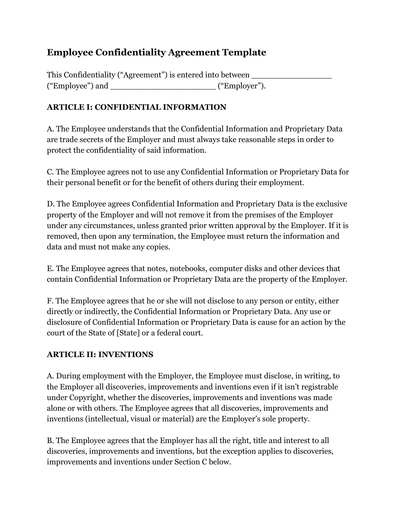# **Employee Confidentiality Agreement Template**

| This Confidentiality ("Agreement") is entered into between |               |  |
|------------------------------------------------------------|---------------|--|
| ("Employee") and                                           | ("Employer"). |  |

## **ARTICLE I: CONFIDENTIAL INFORMATION**

A. The Employee understands that the Confidential Information and Proprietary Data are trade secrets of the Employer and must always take reasonable steps in order to protect the confidentiality of said information.

C. The Employee agrees not to use any Confidential Information or Proprietary Data for their personal benefit or for the benefit of others during their employment.

D. The Employee agrees Confidential Information and Proprietary Data is the exclusive property of the Employer and will not remove it from the premises of the Employer under any circumstances, unless granted prior written approval by the Employer. If it is removed, then upon any termination, the Employee must return the information and data and must not make any copies.

E. The Employee agrees that notes, notebooks, computer disks and other devices that contain Confidential Information or Proprietary Data are the property of the Employer.

F. The Employee agrees that he or she will not disclose to any person or entity, either directly or indirectly, the Confidential Information or Proprietary Data. Any use or disclosure of Confidential Information or Proprietary Data is cause for an action by the court of the State of [State] or a federal court.

### **ARTICLE II: INVENTIONS**

A. During employment with the Employer, the Employee must disclose, in writing, to the Employer all discoveries, improvements and inventions even if it isn't registrable under Copyright, whether the discoveries, improvements and inventions was made alone or with others. The Employee agrees that all discoveries, improvements and inventions (intellectual, visual or material) are the Employer's sole property.

B. The Employee agrees that the Employer has all the right, title and interest to all discoveries, improvements and inventions, but the exception applies to discoveries, improvements and inventions under Section C below.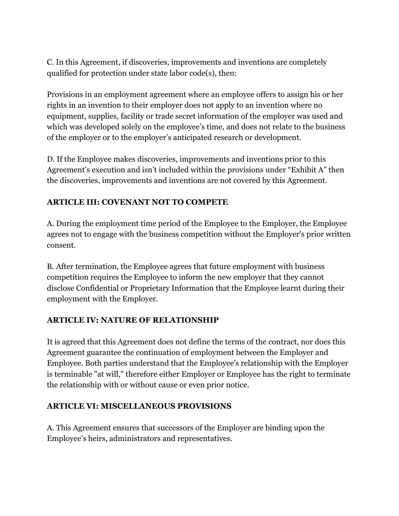C. In this Agreement, if discoveries, improvements and inventions are completely qualified for protection under state labor code(s), then:

Provisions in an employment agreement where an employee offers to assign his or her rights in an invention to their employer does not apply to an invention where no equipment, supplies, facility or trade secret information of the employer was used and which was developed solely on the employee's time, and does not relate to the business of the employer or to the employer's anticipated research or development.

D. If the Employee makes discoveries, improvements and inventions prior to this Agreement's execution and isn't included within the provisions under "Exhibit A" then the discoveries, improvements and inventions are not covered by this Agreement.

### **ARTICLE III: COVENANT NOT TO COMPETE**

A. During the employment time period of the Employee to the Employer, the Employee agrees not to engage with the business competition without the Employer's prior written consent.

B. After termination, the Employee agrees that future employment with business competition requires the Employee to inform the new employer that they cannot disclose Confidential or Proprietary Information that the Employee learnt during their employment with the Employer.

### **ARTICLE IV: NATURE OF RELATIONSHIP**

It is agreed that this Agreement does not define the terms of the contract, nor does this Agreement guarantee the continuation of employment between the Employer and Employee. Both parties understand that the Employee's relationship with the Employer is terminable "at will," therefore either Employer or Employee has the right to terminate the relationship with or without cause or even prior notice.

### **ARTICLE VI: MISCELLANEOUS PROVISIONS**

A. This Agreement ensures that successors of the Employer are binding upon the Employee's heirs, administrators and representatives.